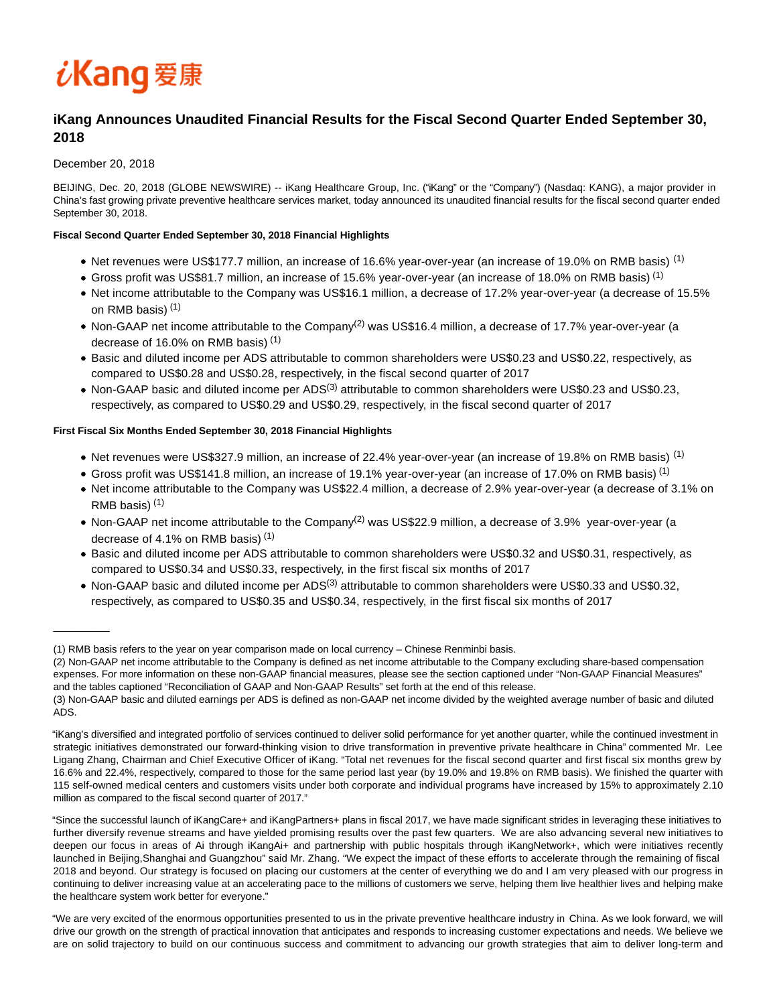# iKang 爱康

# **iKang Announces Unaudited Financial Results for the Fiscal Second Quarter Ended September 30, 2018**

## December 20, 2018

 $\overline{\phantom{a}}$ 

BEIJING, Dec. 20, 2018 (GLOBE NEWSWIRE) -- iKang Healthcare Group, Inc. ("iKang" or the "Company") (Nasdaq: KANG), a major provider in China's fast growing private preventive healthcare services market, today announced its unaudited financial results for the fiscal second quarter ended September 30, 2018.

## **Fiscal Second Quarter Ended September 30, 2018 Financial Highlights**

- Net revenues were US\$177.7 million, an increase of 16.6% year-over-year (an increase of 19.0% on RMB basis) (1)
- Gross profit was US\$81.7 million, an increase of 15.6% year-over-year (an increase of 18.0% on RMB basis) <sup>(1)</sup>
- Net income attributable to the Company was US\$16.1 million, a decrease of 17.2% year-over-year (a decrease of 15.5% on RMB basis) (1)
- Non-GAAP net income attributable to the Company<sup>(2)</sup> was US\$16.4 million, a decrease of 17.7% year-over-year (a decrease of 16.0% on RMB basis) (1)
- Basic and diluted income per ADS attributable to common shareholders were US\$0.23 and US\$0.22, respectively, as compared to US\$0.28 and US\$0.28, respectively, in the fiscal second quarter of 2017
- Non-GAAP basic and diluted income per ADS<sup>(3)</sup> attributable to common shareholders were US\$0.23 and US\$0.23, respectively, as compared to US\$0.29 and US\$0.29, respectively, in the fiscal second quarter of 2017

## **First Fiscal Six Months Ended September 30, 2018 Financial Highlights**

- Net revenues were US\$327.9 million, an increase of 22.4% year-over-year (an increase of 19.8% on RMB basis) (1)
- Gross profit was US\$141.8 million, an increase of 19.1% year-over-year (an increase of 17.0% on RMB basis) (1)
- Net income attributable to the Company was US\$22.4 million, a decrease of 2.9% year-over-year (a decrease of 3.1% on RMB basis) (1)
- Non-GAAP net income attributable to the Company<sup>(2)</sup> was US\$22.9 million, a decrease of 3.9% year-over-year (a decrease of 4.1% on RMB basis) (1)
- Basic and diluted income per ADS attributable to common shareholders were US\$0.32 and US\$0.31, respectively, as compared to US\$0.34 and US\$0.33, respectively, in the first fiscal six months of 2017
- Non-GAAP basic and diluted income per ADS<sup>(3)</sup> attributable to common shareholders were US\$0.33 and US\$0.32, respectively, as compared to US\$0.35 and US\$0.34, respectively, in the first fiscal six months of 2017

"iKang's diversified and integrated portfolio of services continued to deliver solid performance for yet another quarter, while the continued investment in strategic initiatives demonstrated our forward-thinking vision to drive transformation in preventive private healthcare in China" commented Mr. Lee Ligang Zhang, Chairman and Chief Executive Officer of iKang. "Total net revenues for the fiscal second quarter and first fiscal six months grew by 16.6% and 22.4%, respectively, compared to those for the same period last year (by 19.0% and 19.8% on RMB basis). We finished the quarter with 115 self-owned medical centers and customers visits under both corporate and individual programs have increased by 15% to approximately 2.10 million as compared to the fiscal second quarter of 2017."

"Since the successful launch of iKangCare+ and iKangPartners+ plans in fiscal 2017, we have made significant strides in leveraging these initiatives to further diversify revenue streams and have yielded promising results over the past few quarters. We are also advancing several new initiatives to deepen our focus in areas of Ai through iKangAi+ and partnership with public hospitals through iKangNetwork+, which were initiatives recently launched in Beijing,Shanghai and Guangzhou" said Mr. Zhang. "We expect the impact of these efforts to accelerate through the remaining of fiscal 2018 and beyond. Our strategy is focused on placing our customers at the center of everything we do and I am very pleased with our progress in continuing to deliver increasing value at an accelerating pace to the millions of customers we serve, helping them live healthier lives and helping make the healthcare system work better for everyone."

"We are very excited of the enormous opportunities presented to us in the private preventive healthcare industry in China. As we look forward, we will drive our growth on the strength of practical innovation that anticipates and responds to increasing customer expectations and needs. We believe we are on solid trajectory to build on our continuous success and commitment to advancing our growth strategies that aim to deliver long-term and

<sup>(1)</sup> RMB basis refers to the year on year comparison made on local currency – Chinese Renminbi basis.

<sup>(2)</sup> Non-GAAP net income attributable to the Company is defined as net income attributable to the Company excluding share-based compensation expenses. For more information on these non-GAAP financial measures, please see the section captioned under "Non-GAAP Financial Measures" and the tables captioned "Reconciliation of GAAP and Non-GAAP Results" set forth at the end of this release.

<sup>(3)</sup> Non-GAAP basic and diluted earnings per ADS is defined as non-GAAP net income divided by the weighted average number of basic and diluted ADS.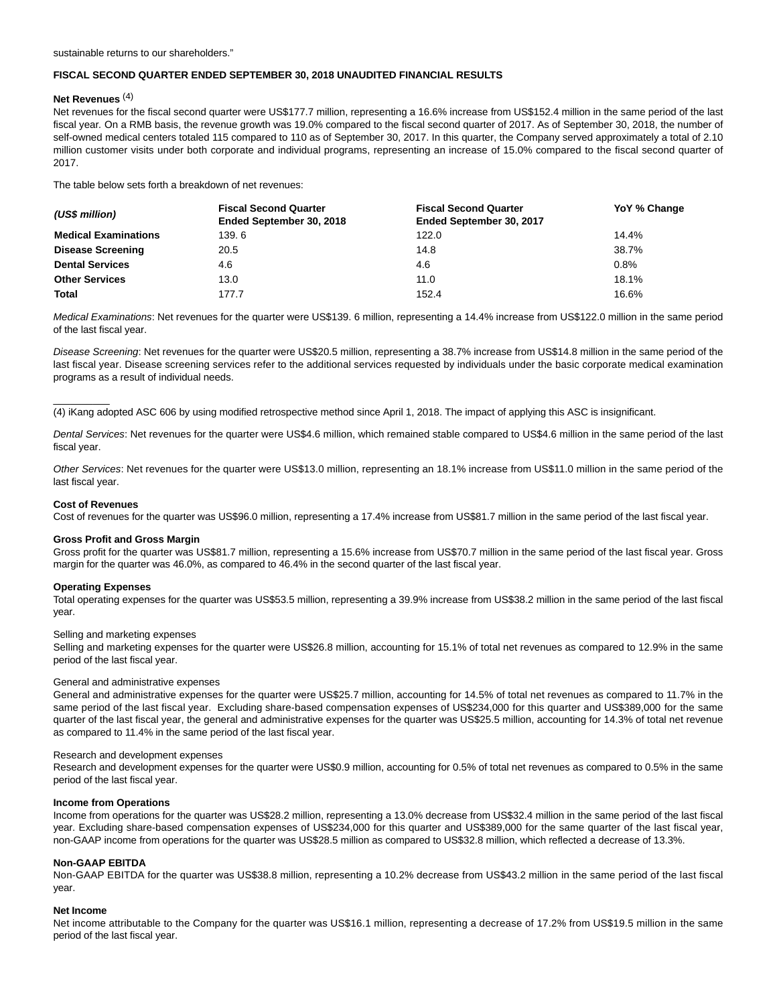#### **FISCAL SECOND QUARTER ENDED SEPTEMBER 30, 2018 UNAUDITED FINANCIAL RESULTS**

#### **Net Revenues** (4)

Net revenues for the fiscal second quarter were US\$177.7 million, representing a 16.6% increase from US\$152.4 million in the same period of the last fiscal year. On a RMB basis, the revenue growth was 19.0% compared to the fiscal second quarter of 2017. As of September 30, 2018, the number of self-owned medical centers totaled 115 compared to 110 as of September 30, 2017. In this quarter, the Company served approximately a total of 2.10 million customer visits under both corporate and individual programs, representing an increase of 15.0% compared to the fiscal second quarter of 2017.

The table below sets forth a breakdown of net revenues:

| (US\$ million)              | <b>Fiscal Second Quarter</b><br>Ended September 30, 2018 | <b>Fiscal Second Quarter</b><br>Ended September 30, 2017 | YoY % Change |  |
|-----------------------------|----------------------------------------------------------|----------------------------------------------------------|--------------|--|
| <b>Medical Examinations</b> | 139.6                                                    | 122.0                                                    | 14.4%        |  |
| <b>Disease Screening</b>    | 20.5                                                     | 14.8                                                     | 38.7%        |  |
| <b>Dental Services</b>      | 4.6                                                      | 4.6                                                      | 0.8%         |  |
| <b>Other Services</b>       | 13.0                                                     | 11.0                                                     | 18.1%        |  |
| Total                       | 177.7                                                    | 152.4                                                    | 16.6%        |  |

Medical Examinations: Net revenues for the quarter were US\$139. 6 million, representing a 14.4% increase from US\$122.0 million in the same period of the last fiscal year.

Disease Screening: Net revenues for the quarter were US\$20.5 million, representing a 38.7% increase from US\$14.8 million in the same period of the last fiscal year. Disease screening services refer to the additional services requested by individuals under the basic corporate medical examination programs as a result of individual needs.

(4) iKang adopted ASC 606 by using modified retrospective method since April 1, 2018. The impact of applying this ASC is insignificant.

Dental Services: Net revenues for the quarter were US\$4.6 million, which remained stable compared to US\$4.6 million in the same period of the last fiscal year.

Other Services: Net revenues for the quarter were US\$13.0 million, representing an 18.1% increase from US\$11.0 million in the same period of the last fiscal year.

#### **Cost of Revenues**

\_\_\_\_\_\_\_\_\_\_

Cost of revenues for the quarter was US\$96.0 million, representing a 17.4% increase from US\$81.7 million in the same period of the last fiscal year.

#### **Gross Profit and Gross Margin**

Gross profit for the quarter was US\$81.7 million, representing a 15.6% increase from US\$70.7 million in the same period of the last fiscal year. Gross margin for the quarter was 46.0%, as compared to 46.4% in the second quarter of the last fiscal year.

#### **Operating Expenses**

Total operating expenses for the quarter was US\$53.5 million, representing a 39.9% increase from US\$38.2 million in the same period of the last fiscal year.

#### Selling and marketing expenses

Selling and marketing expenses for the quarter were US\$26.8 million, accounting for 15.1% of total net revenues as compared to 12.9% in the same period of the last fiscal year.

#### General and administrative expenses

General and administrative expenses for the quarter were US\$25.7 million, accounting for 14.5% of total net revenues as compared to 11.7% in the same period of the last fiscal year. Excluding share-based compensation expenses of US\$234,000 for this quarter and US\$389,000 for the same quarter of the last fiscal year, the general and administrative expenses for the quarter was US\$25.5 million, accounting for 14.3% of total net revenue as compared to 11.4% in the same period of the last fiscal year.

#### Research and development expenses

Research and development expenses for the quarter were US\$0.9 million, accounting for 0.5% of total net revenues as compared to 0.5% in the same period of the last fiscal year.

#### **Income from Operations**

Income from operations for the quarter was US\$28.2 million, representing a 13.0% decrease from US\$32.4 million in the same period of the last fiscal year. Excluding share-based compensation expenses of US\$234,000 for this quarter and US\$389,000 for the same quarter of the last fiscal year, non-GAAP income from operations for the quarter was US\$28.5 million as compared to US\$32.8 million, which reflected a decrease of 13.3%.

#### **Non-GAAP EBITDA**

Non-GAAP EBITDA for the quarter was US\$38.8 million, representing a 10.2% decrease from US\$43.2 million in the same period of the last fiscal year.

#### **Net Income**

Net income attributable to the Company for the quarter was US\$16.1 million, representing a decrease of 17.2% from US\$19.5 million in the same period of the last fiscal year.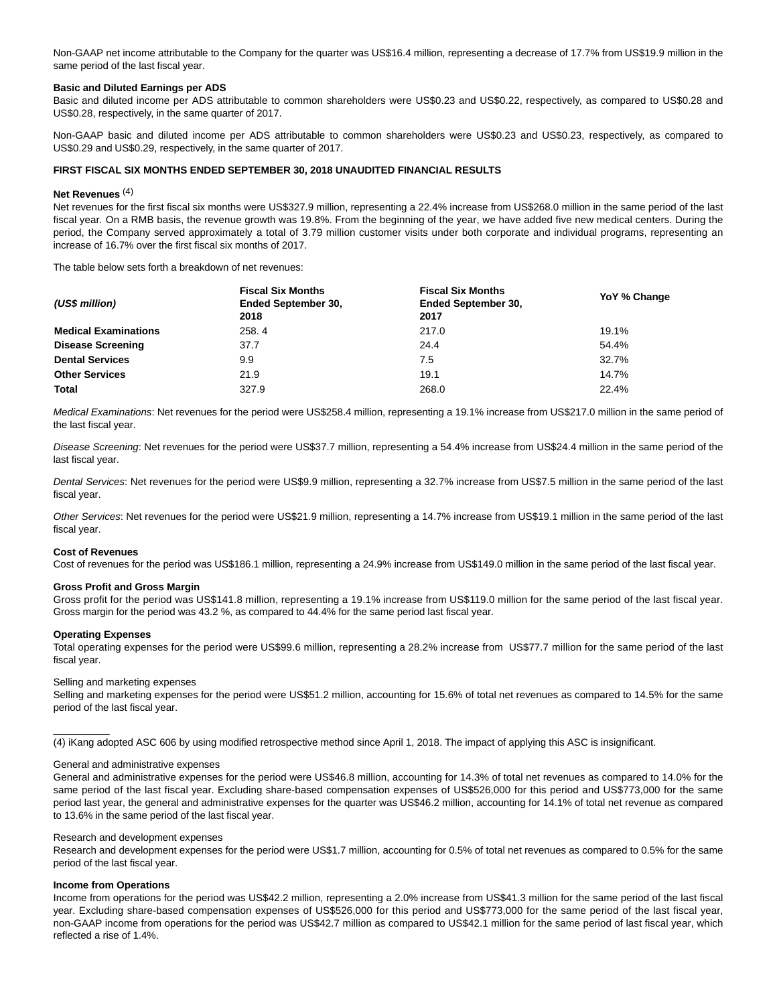Non-GAAP net income attributable to the Company for the quarter was US\$16.4 million, representing a decrease of 17.7% from US\$19.9 million in the same period of the last fiscal year.

#### **Basic and Diluted Earnings per ADS**

Basic and diluted income per ADS attributable to common shareholders were US\$0.23 and US\$0.22, respectively, as compared to US\$0.28 and US\$0.28, respectively, in the same quarter of 2017.

Non-GAAP basic and diluted income per ADS attributable to common shareholders were US\$0.23 and US\$0.23, respectively, as compared to US\$0.29 and US\$0.29, respectively, in the same quarter of 2017.

#### **FIRST FISCAL SIX MONTHS ENDED SEPTEMBER 30, 2018 UNAUDITED FINANCIAL RESULTS**

#### **Net Revenues** (4)

Net revenues for the first fiscal six months were US\$327.9 million, representing a 22.4% increase from US\$268.0 million in the same period of the last fiscal year. On a RMB basis, the revenue growth was 19.8%. From the beginning of the year, we have added five new medical centers. During the period, the Company served approximately a total of 3.79 million customer visits under both corporate and individual programs, representing an increase of 16.7% over the first fiscal six months of 2017.

The table below sets forth a breakdown of net revenues:

| (US\$ million)              | <b>Fiscal Six Months</b><br><b>Ended September 30.</b> | <b>Fiscal Six Months</b><br><b>Ended September 30,</b> | YoY % Change |  |
|-----------------------------|--------------------------------------------------------|--------------------------------------------------------|--------------|--|
|                             | 2018                                                   | 2017                                                   |              |  |
| <b>Medical Examinations</b> | 258.4                                                  | 217.0                                                  | 19.1%        |  |
| <b>Disease Screening</b>    | 37.7                                                   | 24.4                                                   | 54.4%        |  |
| <b>Dental Services</b>      | 9.9                                                    | 7.5                                                    | 32.7%        |  |
| <b>Other Services</b>       | 21.9                                                   | 19.1                                                   | 14.7%        |  |
| Total                       | 327.9                                                  | 268.0                                                  | 22.4%        |  |

Medical Examinations: Net revenues for the period were US\$258.4 million, representing a 19.1% increase from US\$217.0 million in the same period of the last fiscal year.

Disease Screening: Net revenues for the period were US\$37.7 million, representing a 54.4% increase from US\$24.4 million in the same period of the last fiscal year.

Dental Services: Net revenues for the period were US\$9.9 million, representing a 32.7% increase from US\$7.5 million in the same period of the last fiscal year.

Other Services: Net revenues for the period were US\$21.9 million, representing a 14.7% increase from US\$19.1 million in the same period of the last fiscal year.

#### **Cost of Revenues**

Cost of revenues for the period was US\$186.1 million, representing a 24.9% increase from US\$149.0 million in the same period of the last fiscal year.

#### **Gross Profit and Gross Margin**

Gross profit for the period was US\$141.8 million, representing a 19.1% increase from US\$119.0 million for the same period of the last fiscal year. Gross margin for the period was 43.2 %, as compared to 44.4% for the same period last fiscal year.

#### **Operating Expenses**

 $\overline{\phantom{a}}$ 

Total operating expenses for the period were US\$99.6 million, representing a 28.2% increase from US\$77.7 million for the same period of the last fiscal year.

#### Selling and marketing expenses

Selling and marketing expenses for the period were US\$51.2 million, accounting for 15.6% of total net revenues as compared to 14.5% for the same period of the last fiscal year.

(4) iKang adopted ASC 606 by using modified retrospective method since April 1, 2018. The impact of applying this ASC is insignificant.

#### General and administrative expenses

General and administrative expenses for the period were US\$46.8 million, accounting for 14.3% of total net revenues as compared to 14.0% for the same period of the last fiscal year. Excluding share-based compensation expenses of US\$526,000 for this period and US\$773,000 for the same period last year, the general and administrative expenses for the quarter was US\$46.2 million, accounting for 14.1% of total net revenue as compared to 13.6% in the same period of the last fiscal year.

#### Research and development expenses

Research and development expenses for the period were US\$1.7 million, accounting for 0.5% of total net revenues as compared to 0.5% for the same period of the last fiscal year.

#### **Income from Operations**

Income from operations for the period was US\$42.2 million, representing a 2.0% increase from US\$41.3 million for the same period of the last fiscal year. Excluding share-based compensation expenses of US\$526,000 for this period and US\$773,000 for the same period of the last fiscal year, non-GAAP income from operations for the period was US\$42.7 million as compared to US\$42.1 million for the same period of last fiscal year, which reflected a rise of 1.4%.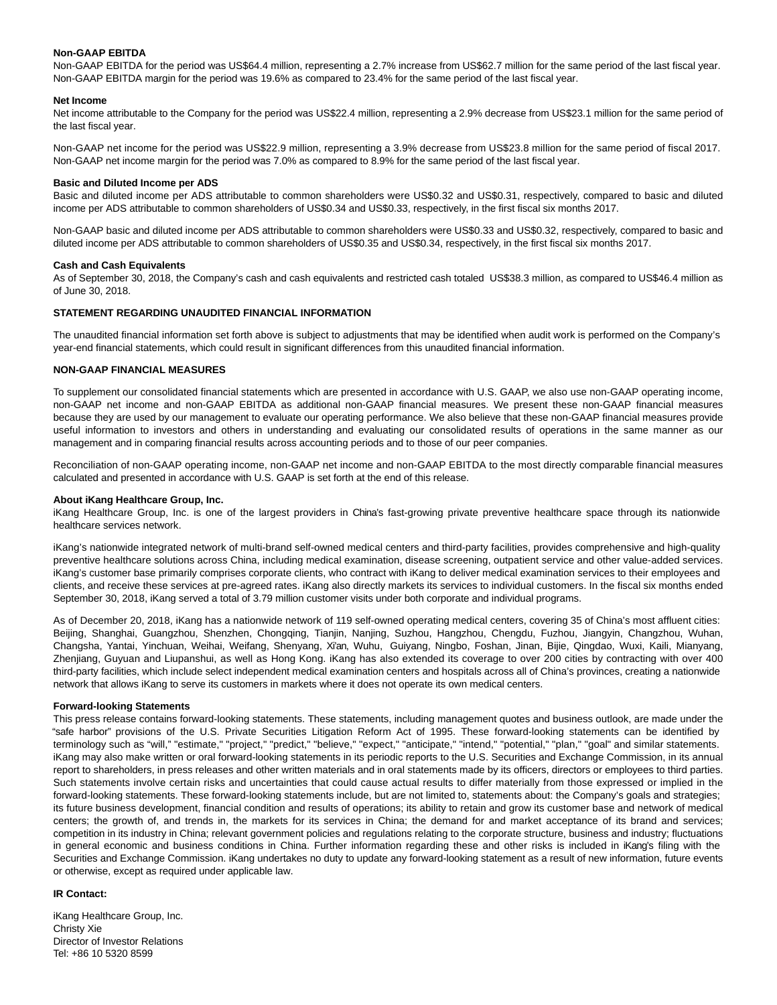#### **Non-GAAP EBITDA**

Non-GAAP EBITDA for the period was US\$64.4 million, representing a 2.7% increase from US\$62.7 million for the same period of the last fiscal year. Non-GAAP EBITDA margin for the period was 19.6% as compared to 23.4% for the same period of the last fiscal year.

#### **Net Income**

Net income attributable to the Company for the period was US\$22.4 million, representing a 2.9% decrease from US\$23.1 million for the same period of the last fiscal year.

Non-GAAP net income for the period was US\$22.9 million, representing a 3.9% decrease from US\$23.8 million for the same period of fiscal 2017. Non-GAAP net income margin for the period was 7.0% as compared to 8.9% for the same period of the last fiscal year.

#### **Basic and Diluted Income per ADS**

Basic and diluted income per ADS attributable to common shareholders were US\$0.32 and US\$0.31, respectively, compared to basic and diluted income per ADS attributable to common shareholders of US\$0.34 and US\$0.33, respectively, in the first fiscal six months 2017.

Non-GAAP basic and diluted income per ADS attributable to common shareholders were US\$0.33 and US\$0.32, respectively, compared to basic and diluted income per ADS attributable to common shareholders of US\$0.35 and US\$0.34, respectively, in the first fiscal six months 2017.

#### **Cash and Cash Equivalents**

As of September 30, 2018, the Company's cash and cash equivalents and restricted cash totaled US\$38.3 million, as compared to US\$46.4 million as of June 30, 2018.

#### **STATEMENT REGARDING UNAUDITED FINANCIAL INFORMATION**

The unaudited financial information set forth above is subject to adjustments that may be identified when audit work is performed on the Company's year-end financial statements, which could result in significant differences from this unaudited financial information.

#### **NON-GAAP FINANCIAL MEASURES**

To supplement our consolidated financial statements which are presented in accordance with U.S. GAAP, we also use non-GAAP operating income, non-GAAP net income and non-GAAP EBITDA as additional non-GAAP financial measures. We present these non-GAAP financial measures because they are used by our management to evaluate our operating performance. We also believe that these non-GAAP financial measures provide useful information to investors and others in understanding and evaluating our consolidated results of operations in the same manner as our management and in comparing financial results across accounting periods and to those of our peer companies.

Reconciliation of non-GAAP operating income, non-GAAP net income and non-GAAP EBITDA to the most directly comparable financial measures calculated and presented in accordance with U.S. GAAP is set forth at the end of this release.

#### **About iKang Healthcare Group, Inc.**

iKang Healthcare Group, Inc. is one of the largest providers in China's fast-growing private preventive healthcare space through its nationwide healthcare services network.

iKang's nationwide integrated network of multi-brand self-owned medical centers and third-party facilities, provides comprehensive and high-quality preventive healthcare solutions across China, including medical examination, disease screening, outpatient service and other value-added services. iKang's customer base primarily comprises corporate clients, who contract with iKang to deliver medical examination services to their employees and clients, and receive these services at pre-agreed rates. iKang also directly markets its services to individual customers. In the fiscal six months ended September 30, 2018, iKang served a total of 3.79 million customer visits under both corporate and individual programs.

As of December 20, 2018, iKang has a nationwide network of 119 self-owned operating medical centers, covering 35 of China's most affluent cities: Beijing, Shanghai, Guangzhou, Shenzhen, Chongqing, Tianjin, Nanjing, Suzhou, Hangzhou, Chengdu, Fuzhou, Jiangyin, Changzhou, Wuhan, Changsha, Yantai, Yinchuan, Weihai, Weifang, Shenyang, Xi'an, Wuhu, Guiyang, Ningbo, Foshan, Jinan, Bijie, Qingdao, Wuxi, Kaili, Mianyang, Zhenjiang, Guyuan and Liupanshui, as well as Hong Kong. iKang has also extended its coverage to over 200 cities by contracting with over 400 third-party facilities, which include select independent medical examination centers and hospitals across all of China's provinces, creating a nationwide network that allows iKang to serve its customers in markets where it does not operate its own medical centers.

#### **Forward-looking Statements**

This press release contains forward-looking statements. These statements, including management quotes and business outlook, are made under the "safe harbor" provisions of the U.S. Private Securities Litigation Reform Act of 1995. These forward-looking statements can be identified by terminology such as "will," "estimate," "project," "predict," "believe," "expect," "anticipate," "intend," "potential," "plan," "goal" and similar statements. iKang may also make written or oral forward-looking statements in its periodic reports to the U.S. Securities and Exchange Commission, in its annual report to shareholders, in press releases and other written materials and in oral statements made by its officers, directors or employees to third parties. Such statements involve certain risks and uncertainties that could cause actual results to differ materially from those expressed or implied in the forward-looking statements. These forward-looking statements include, but are not limited to, statements about: the Company's goals and strategies; its future business development, financial condition and results of operations; its ability to retain and grow its customer base and network of medical centers; the growth of, and trends in, the markets for its services in China; the demand for and market acceptance of its brand and services; competition in its industry in China; relevant government policies and regulations relating to the corporate structure, business and industry; fluctuations in general economic and business conditions in China. Further information regarding these and other risks is included in iKang's filing with the Securities and Exchange Commission. iKang undertakes no duty to update any forward-looking statement as a result of new information, future events or otherwise, except as required under applicable law.

#### **IR Contact:**

iKang Healthcare Group, Inc. Christy Xie Director of Investor Relations Tel: +86 10 5320 8599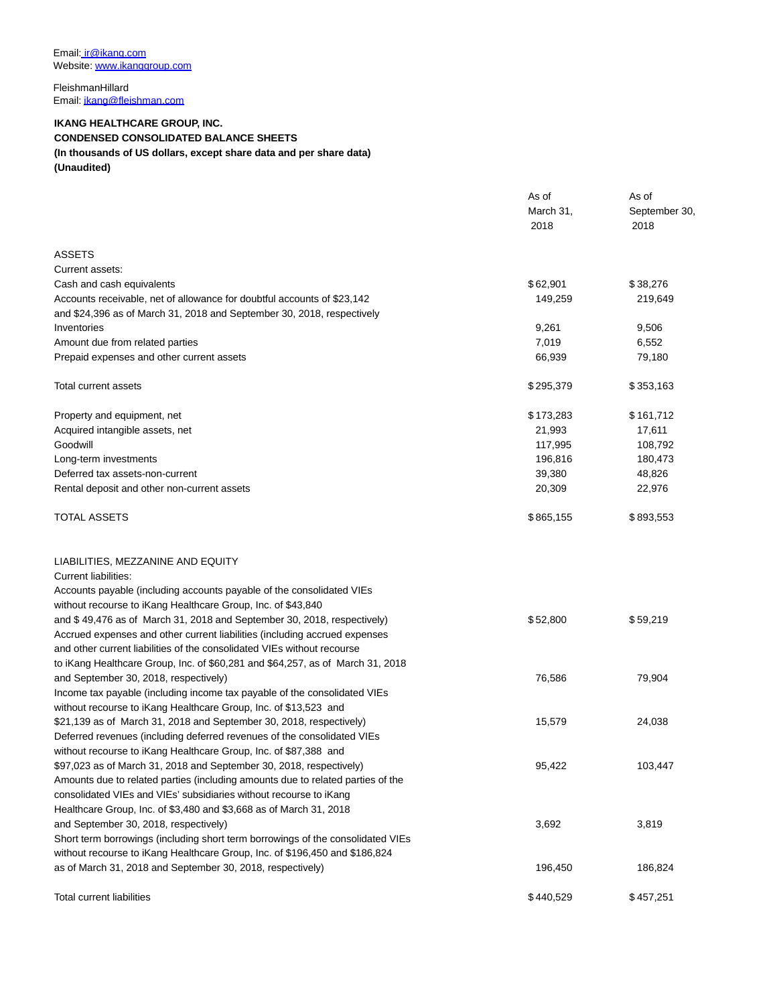FleishmanHillard Email[: ikang@fleishman.com](https://www.globenewswire.com/Tracker?data=QFWBFY_V-31Zomm9QGxANKbSbVjN-WQtpPwp8hGZkVFEsG1-FdlgeRaKaughPV3rF2aISPMiag7vp5g6ywE9r0QG3yxOYFlpmj1SSK9iWDA=)

## **IKANG HEALTHCARE GROUP, INC. CONDENSED CONSOLIDATED BALANCE SHEETS (In thousands of US dollars, except share data and per share data) (Unaudited)**

|                                                                                 | As of<br>March 31,<br>2018 | As of<br>September 30,<br>2018 |
|---------------------------------------------------------------------------------|----------------------------|--------------------------------|
| ASSETS                                                                          |                            |                                |
| Current assets:                                                                 |                            |                                |
| Cash and cash equivalents                                                       | \$62,901                   | \$38,276                       |
| Accounts receivable, net of allowance for doubtful accounts of \$23,142         | 149,259                    | 219,649                        |
| and \$24,396 as of March 31, 2018 and September 30, 2018, respectively          |                            |                                |
| Inventories                                                                     | 9,261                      | 9,506                          |
| Amount due from related parties                                                 | 7,019                      | 6,552                          |
| Prepaid expenses and other current assets                                       | 66,939                     | 79,180                         |
| Total current assets                                                            | \$295,379                  | \$353,163                      |
| Property and equipment, net                                                     | \$173,283                  | \$161,712                      |
| Acquired intangible assets, net                                                 | 21,993                     | 17,611                         |
| Goodwill                                                                        | 117,995                    | 108,792                        |
| Long-term investments                                                           | 196,816                    | 180,473                        |
| Deferred tax assets-non-current                                                 | 39,380                     | 48,826                         |
| Rental deposit and other non-current assets                                     | 20,309                     | 22,976                         |
| TOTAL ASSETS                                                                    | \$865,155                  | \$893,553                      |
| LIABILITIES, MEZZANINE AND EQUITY                                               |                            |                                |
| Current liabilities:                                                            |                            |                                |
| Accounts payable (including accounts payable of the consolidated VIEs           |                            |                                |
| without recourse to iKang Healthcare Group, Inc. of \$43,840                    |                            |                                |
| and \$49,476 as of March 31, 2018 and September 30, 2018, respectively)         | \$52,800                   | \$59,219                       |
| Accrued expenses and other current liabilities (including accrued expenses      |                            |                                |
| and other current liabilities of the consolidated VIEs without recourse         |                            |                                |
| to iKang Healthcare Group, Inc. of \$60,281 and \$64,257, as of March 31, 2018  |                            |                                |
| and September 30, 2018, respectively)                                           | 76,586                     | 79,904                         |
| Income tax payable (including income tax payable of the consolidated VIEs       |                            |                                |
| without recourse to iKang Healthcare Group, Inc. of \$13,523 and                |                            |                                |
| \$21,139 as of March 31, 2018 and September 30, 2018, respectively)             | 15,579                     | 24,038                         |
| Deferred revenues (including deferred revenues of the consolidated VIEs         |                            |                                |
| without recourse to iKang Healthcare Group, Inc. of \$87,388 and                |                            |                                |
| \$97,023 as of March 31, 2018 and September 30, 2018, respectively)             | 95,422                     | 103,447                        |
| Amounts due to related parties (including amounts due to related parties of the |                            |                                |
| consolidated VIEs and VIEs' subsidiaries without recourse to iKang              |                            |                                |
| Healthcare Group, Inc. of \$3,480 and \$3,668 as of March 31, 2018              |                            |                                |
| and September 30, 2018, respectively)                                           | 3,692                      | 3,819                          |
| Short term borrowings (including short term borrowings of the consolidated VIEs |                            |                                |
| without recourse to iKang Healthcare Group, Inc. of \$196,450 and \$186,824     |                            |                                |
| as of March 31, 2018 and September 30, 2018, respectively)                      | 196,450                    | 186,824                        |
| <b>Total current liabilities</b>                                                | \$440,529                  | \$457,251                      |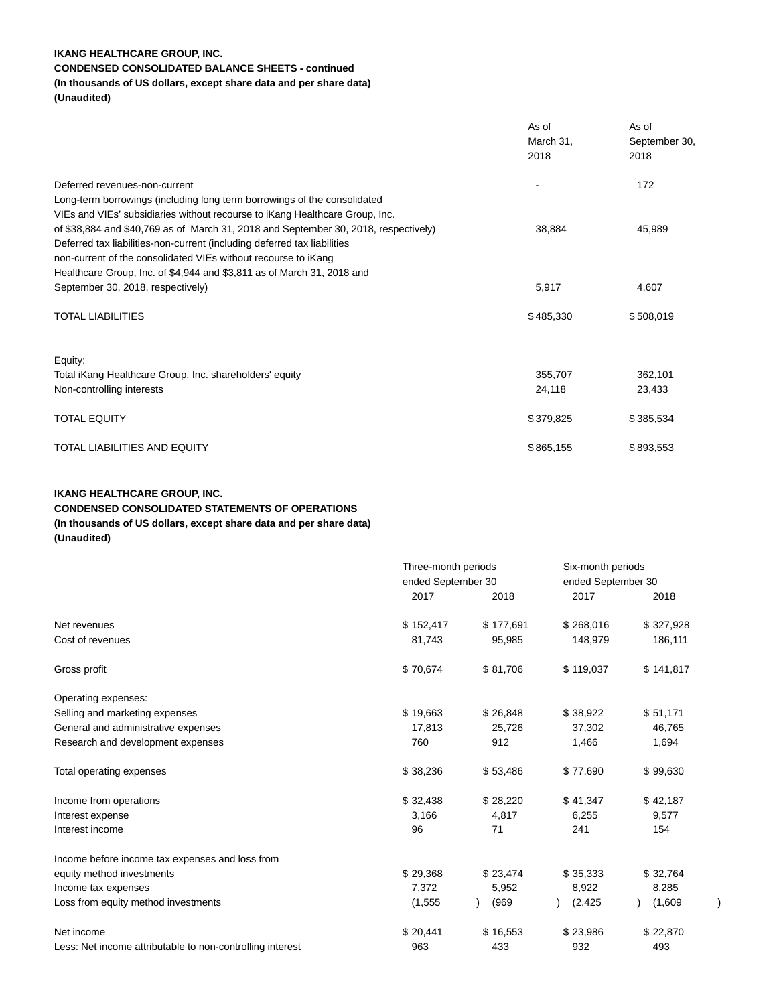## **IKANG HEALTHCARE GROUP, INC.**

# **CONDENSED CONSOLIDATED BALANCE SHEETS - continued**

# **(In thousands of US dollars, except share data and per share data)**

**(Unaudited)**

|                                                                                                                                                                                                                                                                                                             | As of<br>March 31,<br>2018 | As of<br>September 30,<br>2018 |
|-------------------------------------------------------------------------------------------------------------------------------------------------------------------------------------------------------------------------------------------------------------------------------------------------------------|----------------------------|--------------------------------|
| Deferred revenues-non-current<br>Long-term borrowings (including long term borrowings of the consolidated<br>VIEs and VIEs' subsidiaries without recourse to iKang Healthcare Group, Inc.                                                                                                                   |                            | 172                            |
| of \$38,884 and \$40,769 as of March 31, 2018 and September 30, 2018, respectively)<br>Deferred tax liabilities-non-current (including deferred tax liabilities<br>non-current of the consolidated VIEs without recourse to iKang<br>Healthcare Group, Inc. of \$4,944 and \$3,811 as of March 31, 2018 and | 38,884                     | 45,989                         |
| September 30, 2018, respectively)                                                                                                                                                                                                                                                                           | 5,917                      | 4,607                          |
| <b>TOTAL LIABILITIES</b>                                                                                                                                                                                                                                                                                    | \$485,330                  | \$508,019                      |
| Equity:                                                                                                                                                                                                                                                                                                     |                            |                                |
| Total iKang Healthcare Group, Inc. shareholders' equity                                                                                                                                                                                                                                                     | 355,707                    | 362,101                        |
| Non-controlling interests                                                                                                                                                                                                                                                                                   | 24,118                     | 23,433                         |
| <b>TOTAL EQUITY</b>                                                                                                                                                                                                                                                                                         | \$379,825                  | \$385,534                      |
| <b>TOTAL LIABILITIES AND EQUITY</b>                                                                                                                                                                                                                                                                         | \$865,155                  | \$893,553                      |

## **IKANG HEALTHCARE GROUP, INC. CONDENSED CONSOLIDATED STATEMENTS OF OPERATIONS (In thousands of US dollars, except share data and per share data) (Unaudited)**

|                                                           | Three-month periods<br>ended September 30 |           |           | Six-month periods<br>ended September 30 |  |
|-----------------------------------------------------------|-------------------------------------------|-----------|-----------|-----------------------------------------|--|
|                                                           |                                           |           |           |                                         |  |
|                                                           | 2017                                      | 2018      | 2017      | 2018                                    |  |
| Net revenues                                              | \$152,417                                 | \$177,691 | \$268,016 | \$327,928                               |  |
| Cost of revenues                                          | 81,743                                    | 95,985    | 148,979   | 186,111                                 |  |
| Gross profit                                              | \$70,674                                  | \$81,706  | \$119,037 | \$141,817                               |  |
| Operating expenses:                                       |                                           |           |           |                                         |  |
| Selling and marketing expenses                            | \$19,663                                  | \$26,848  | \$38,922  | \$51,171                                |  |
| General and administrative expenses                       | 17,813                                    | 25,726    | 37,302    | 46,765                                  |  |
| Research and development expenses                         | 760                                       | 912       | 1,466     | 1,694                                   |  |
| Total operating expenses                                  | \$38,236                                  | \$53,486  | \$77,690  | \$99,630                                |  |
| Income from operations                                    | \$32,438                                  | \$28,220  | \$41,347  | \$42,187                                |  |
| Interest expense                                          | 3,166                                     | 4,817     | 6,255     | 9,577                                   |  |
| Interest income                                           | 96                                        | 71        | 241       | 154                                     |  |
| Income before income tax expenses and loss from           |                                           |           |           |                                         |  |
| equity method investments                                 | \$29,368                                  | \$23,474  | \$35,333  | \$32,764                                |  |
| Income tax expenses                                       | 7,372                                     | 5,952     | 8,922     | 8,285                                   |  |
| Loss from equity method investments                       | (1, 555)                                  | (969)     | (2, 425)  | (1,609)                                 |  |
| Net income                                                | \$20,441                                  | \$16,553  | \$23,986  | \$22,870                                |  |
| Less: Net income attributable to non-controlling interest | 963                                       | 433       | 932       | 493                                     |  |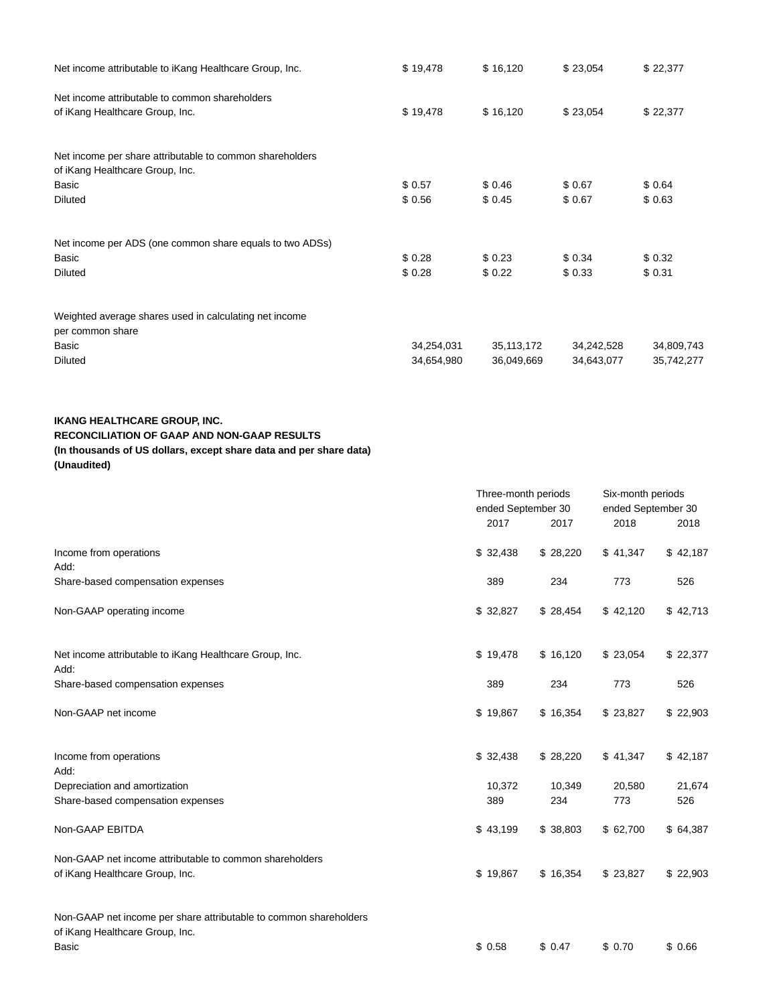| Net income attributable to iKang Healthcare Group, Inc.  | \$19,478   | \$16,120     | \$23,054   | \$22,377   |
|----------------------------------------------------------|------------|--------------|------------|------------|
| Net income attributable to common shareholders           |            |              |            |            |
| of iKang Healthcare Group, Inc.                          | \$19,478   | \$16,120     | \$23,054   | \$22,377   |
| Net income per share attributable to common shareholders |            |              |            |            |
| of iKang Healthcare Group, Inc.                          |            |              |            |            |
| Basic                                                    | \$0.57     | \$0.46       | \$0.67     | \$0.64     |
| <b>Diluted</b>                                           | \$0.56     | \$0.45       | \$0.67     | \$0.63     |
| Net income per ADS (one common share equals to two ADSs) |            |              |            |            |
| Basic                                                    | \$0.28     | \$0.23       | \$0.34     | \$0.32     |
| <b>Diluted</b>                                           | \$0.28     | \$0.22       | \$0.33     | \$0.31     |
| Weighted average shares used in calculating net income   |            |              |            |            |
| per common share                                         |            |              |            |            |
| Basic                                                    | 34,254,031 | 35, 113, 172 | 34,242,528 | 34,809,743 |
| <b>Diluted</b>                                           | 34,654,980 | 36,049,669   | 34,643,077 | 35,742,277 |

## **IKANG HEALTHCARE GROUP, INC.**

## **RECONCILIATION OF GAAP AND NON-GAAP RESULTS**

# **(In thousands of US dollars, except share data and per share data)**

| (Unaudited) |  |
|-------------|--|
|             |  |

|                                                                                                      | Three-month periods<br>ended September 30 |          | Six-month periods<br>ended September 30 |          |
|------------------------------------------------------------------------------------------------------|-------------------------------------------|----------|-----------------------------------------|----------|
|                                                                                                      | 2017                                      | 2017     | 2018                                    | 2018     |
| Income from operations<br>Add:                                                                       | \$32,438                                  | \$28,220 | \$41,347                                | \$42,187 |
| Share-based compensation expenses                                                                    | 389                                       | 234      | 773                                     | 526      |
| Non-GAAP operating income                                                                            | \$32,827                                  | \$28,454 | \$42,120                                | \$42,713 |
| Net income attributable to iKang Healthcare Group, Inc.<br>Add:                                      | \$19,478                                  | \$16,120 | \$23,054                                | \$22,377 |
| Share-based compensation expenses                                                                    | 389                                       | 234      | 773                                     | 526      |
| Non-GAAP net income                                                                                  | \$19,867                                  | \$16,354 | \$23,827                                | \$22,903 |
| Income from operations<br>Add:                                                                       | \$32,438                                  | \$28,220 | \$41,347                                | \$42,187 |
| Depreciation and amortization                                                                        | 10,372                                    | 10,349   | 20,580                                  | 21,674   |
| Share-based compensation expenses                                                                    | 389                                       | 234      | 773                                     | 526      |
| Non-GAAP EBITDA                                                                                      | \$43,199                                  | \$38,803 | \$62,700                                | \$64,387 |
| Non-GAAP net income attributable to common shareholders<br>of iKang Healthcare Group, Inc.           | \$19,867                                  | \$16,354 | \$23,827                                | \$22,903 |
| Non-GAAP net income per share attributable to common shareholders<br>of iKang Healthcare Group, Inc. |                                           |          |                                         |          |
| <b>Basic</b>                                                                                         | \$0.58                                    | \$0.47   | \$0.70                                  | \$0.66   |